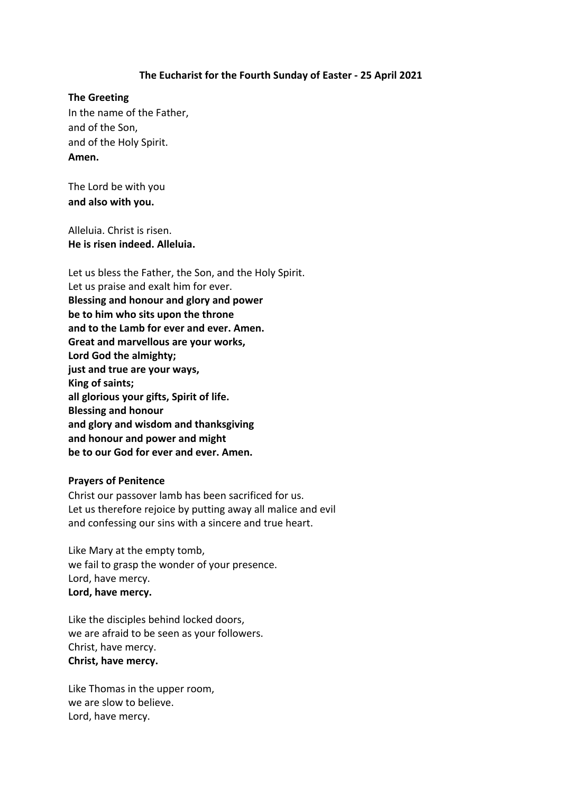## **The Eucharist for the Fourth Sunday of Easter - 25 April 2021**

### **The Greeting**

In the name of the Father, and of the Son, and of the Holy Spirit. **Amen.**

The Lord be with you **and also with you.**

Alleluia. Christ is risen. **He is risen indeed. Alleluia.**

Let us bless the Father, the Son, and the Holy Spirit. Let us praise and exalt him for ever. **Blessing and honour and glory and power be to him who sits upon the throne and to the Lamb for ever and ever. Amen. Great and marvellous are your works, Lord God the almighty; just and true are your ways, King of saints; all glorious your gifts, Spirit of life. Blessing and honour and glory and wisdom and thanksgiving and honour and power and might be to our God for ever and ever. Amen.**

#### **Prayers of Penitence**

Christ our passover lamb has been sacrificed for us. Let us therefore rejoice by putting away all malice and evil and confessing our sins with a sincere and true heart.

Like Mary at the empty tomb, we fail to grasp the wonder of your presence. Lord, have mercy. **Lord, have mercy.**

Like the disciples behind locked doors, we are afraid to be seen as your followers. Christ, have mercy. **Christ, have mercy.**

Like Thomas in the upper room, we are slow to believe. Lord, have mercy.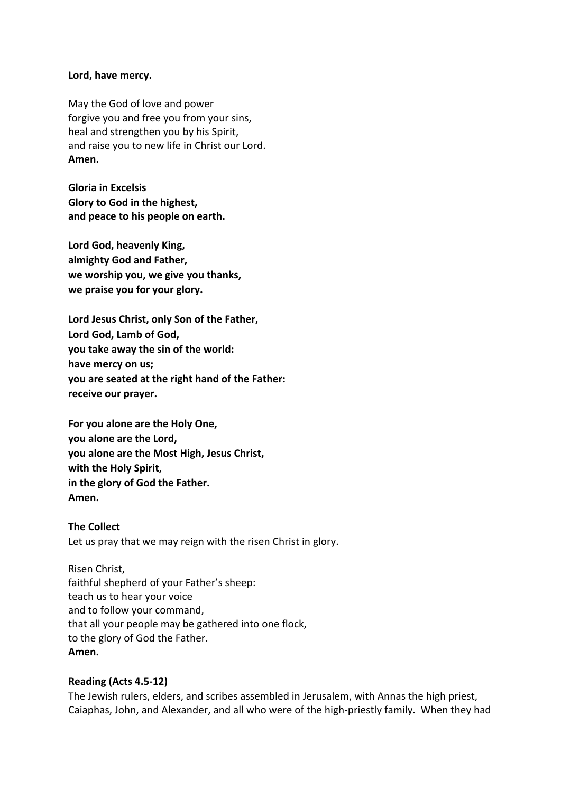### **Lord, have mercy.**

May the God of love and power forgive you and free you from your sins, heal and strengthen you by his Spirit, and raise you to new life in Christ our Lord. **Amen.**

**Gloria in Excelsis Glory to God in the highest, and peace to his people on earth.**

**Lord God, heavenly King, almighty God and Father, we worship you, we give you thanks, we praise you for your glory.**

**Lord Jesus Christ, only Son of the Father, Lord God, Lamb of God, you take away the sin of the world: have mercy on us; you are seated at the right hand of the Father: receive our prayer.**

**For you alone are the Holy One, you alone are the Lord, you alone are the Most High, Jesus Christ, with the Holy Spirit, in the glory of God the Father. Amen.**

**The Collect** Let us pray that we may reign with the risen Christ in glory.

Risen Christ, faithful shepherd of your Father's sheep: teach us to hear your voice and to follow your command, that all your people may be gathered into one flock, to the glory of God the Father. **Amen.**

## **Reading (Acts 4.5-12)**

The Jewish rulers, elders, and scribes assembled in Jerusalem, with Annas the high priest, Caiaphas, John, and Alexander, and all who were of the high-priestly family. When they had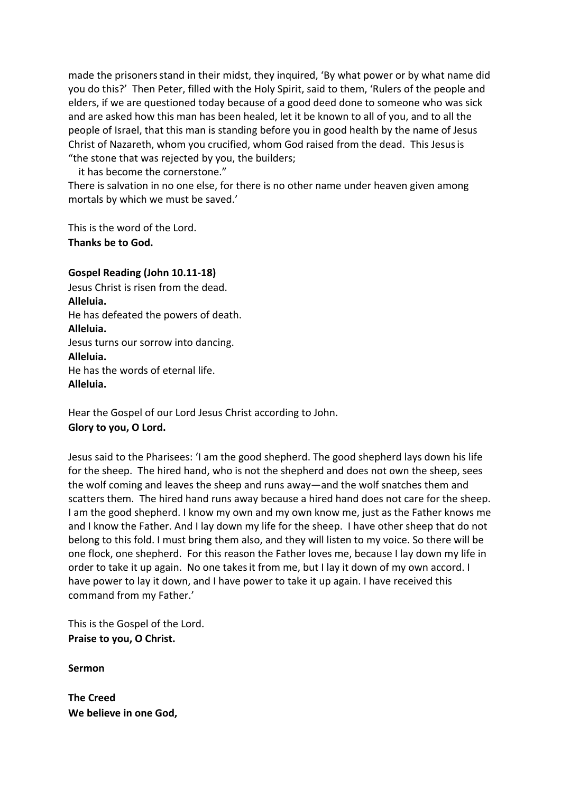made the prisonersstand in their midst, they inquired, 'By what power or by what name did you do this?' Then Peter, filled with the Holy Spirit, said to them, 'Rulers of the people and elders, if we are questioned today because of a good deed done to someone who was sick and are asked how this man has been healed, let it be known to all of you, and to all the people of Israel, that this man is standing before you in good health by the name of Jesus Christ of Nazareth, whom you crucified, whom God raised from the dead. This Jesusis "the stone that was rejected by you, the builders;

it has become the cornerstone."

There is salvation in no one else, for there is no other name under heaven given among mortals by which we must be saved.'

This is the word of the Lord. **Thanks be to God.**

# **Gospel Reading (John 10.11-18)**

Jesus Christ is risen from the dead. **Alleluia.** He has defeated the powers of death. **Alleluia.** Jesus turns our sorrow into dancing. **Alleluia.** He has the words of eternal life. **Alleluia.**

Hear the Gospel of our Lord Jesus Christ according to John. **Glory to you, O Lord.**

Jesus said to the Pharisees: 'I am the good shepherd. The good shepherd lays down his life for the sheep. The hired hand, who is not the shepherd and does not own the sheep, sees the wolf coming and leaves the sheep and runs away—and the wolf snatches them and scatters them. The hired hand runs away because a hired hand does not care for the sheep. I am the good shepherd. I know my own and my own know me, just as the Father knows me and I know the Father. And I lay down my life for the sheep. I have other sheep that do not belong to this fold. I must bring them also, and they will listen to my voice. So there will be one flock, one shepherd. For this reason the Father loves me, because I lay down my life in order to take it up again. No one takesit from me, but I lay it down of my own accord. I have power to lay it down, and I have power to take it up again. I have received this command from my Father.'

This is the Gospel of the Lord. **Praise to you, O Christ.**

**Sermon**

**The Creed We believe in one God,**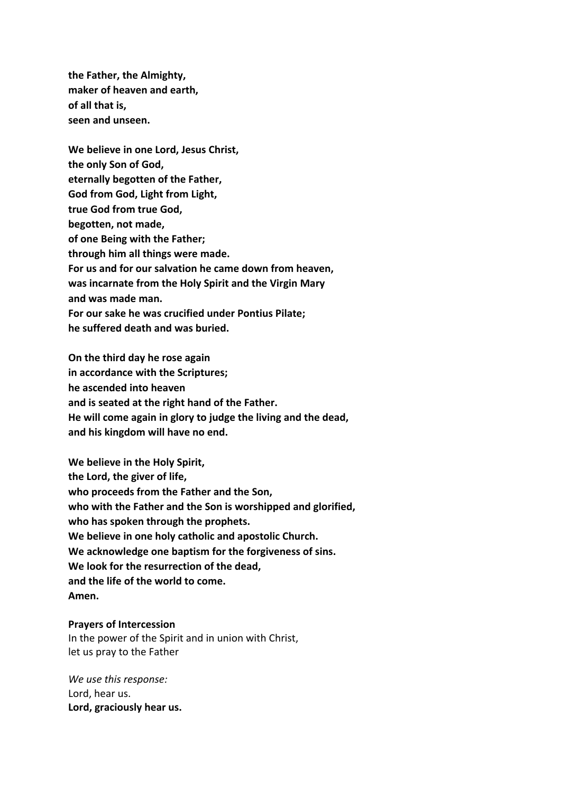**the Father, the Almighty, maker of heaven and earth, of all that is, seen and unseen.**

**We believe in one Lord, Jesus Christ, the only Son of God, eternally begotten of the Father, God from God, Light from Light, true God from true God, begotten, not made, of one Being with the Father; through him all things were made. For us and for our salvation he came down from heaven, was incarnate from the Holy Spirit and the Virgin Mary and was made man. For our sake he was crucified under Pontius Pilate; he suffered death and was buried.** 

**On the third day he rose again in accordance with the Scriptures; he ascended into heaven and is seated at the right hand of the Father. He will come again in glory to judge the living and the dead, and his kingdom will have no end.**

**We believe in the Holy Spirit, the Lord, the giver of life, who proceeds from the Father and the Son, who with the Father and the Son is worshipped and glorified, who has spoken through the prophets. We believe in one holy catholic and apostolic Church. We acknowledge one baptism for the forgiveness of sins. We look for the resurrection of the dead, and the life of the world to come. Amen.**

### **Prayers of Intercession**

In the power of the Spirit and in union with Christ, let us pray to the Father

*We use this response:* Lord, hear us. **Lord, graciously hear us.**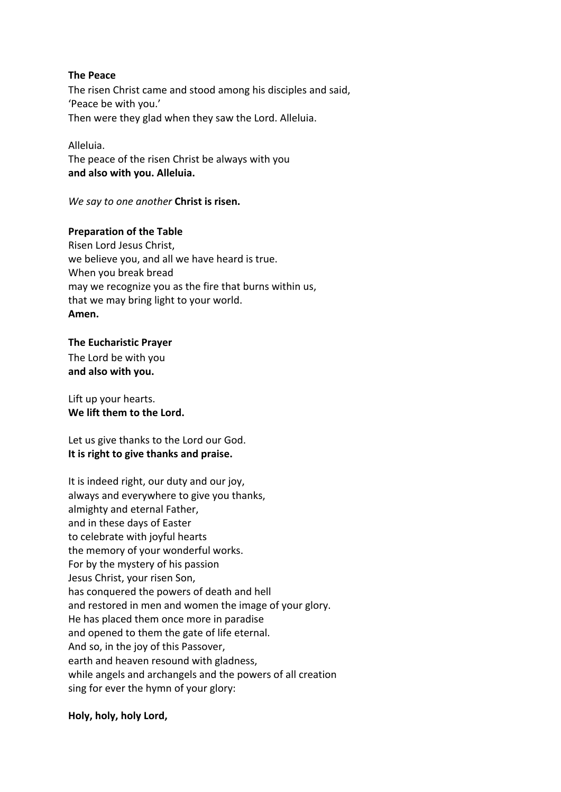### **The Peace**

The risen Christ came and stood among his disciples and said, 'Peace be with you.' Then were they glad when they saw the Lord. Alleluia.

### Alleluia.

The peace of the risen Christ be always with you **and also with you. Alleluia.**

*We say to one another* **Christ is risen.**

## **Preparation of the Table**

Risen Lord Jesus Christ, we believe you, and all we have heard is true. When you break bread may we recognize you as the fire that burns within us, that we may bring light to your world. **Amen.**

### **The Eucharistic Prayer**

The Lord be with you **and also with you.**

Lift up your hearts. **We lift them to the Lord.**

Let us give thanks to the Lord our God. **It is right to give thanks and praise.**

It is indeed right, our duty and our joy, always and everywhere to give you thanks, almighty and eternal Father, and in these days of Easter to celebrate with joyful hearts the memory of your wonderful works. For by the mystery of his passion Jesus Christ, your risen Son, has conquered the powers of death and hell and restored in men and women the image of your glory. He has placed them once more in paradise and opened to them the gate of life eternal. And so, in the joy of this Passover, earth and heaven resound with gladness, while angels and archangels and the powers of all creation sing for ever the hymn of your glory:

## **Holy, holy, holy Lord,**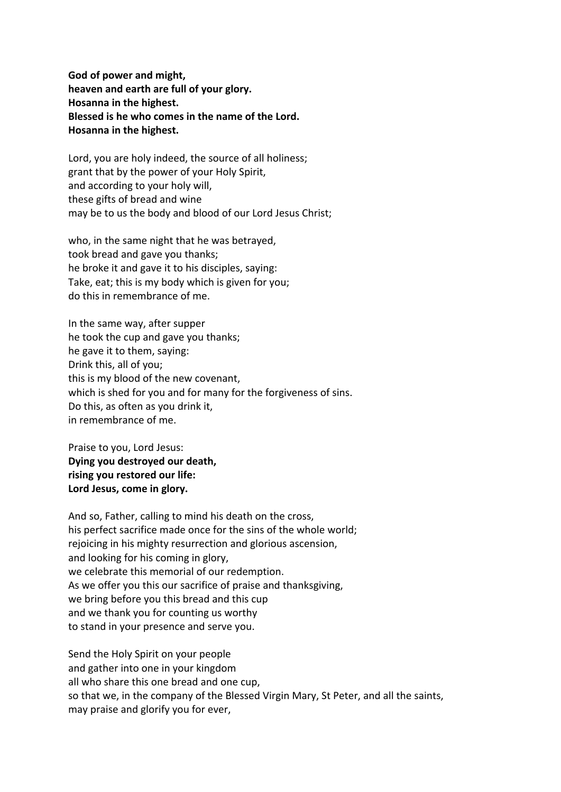**God of power and might, heaven and earth are full of your glory. Hosanna in the highest. Blessed is he who comes in the name of the Lord. Hosanna in the highest.**

Lord, you are holy indeed, the source of all holiness; grant that by the power of your Holy Spirit, and according to your holy will, these gifts of bread and wine may be to us the body and blood of our Lord Jesus Christ;

who, in the same night that he was betrayed, took bread and gave you thanks; he broke it and gave it to his disciples, saying: Take, eat; this is my body which is given for you; do this in remembrance of me.

In the same way, after supper he took the cup and gave you thanks; he gave it to them, saying: Drink this, all of you; this is my blood of the new covenant, which is shed for you and for many for the forgiveness of sins. Do this, as often as you drink it, in remembrance of me.

Praise to you, Lord Jesus: **Dying you destroyed our death, rising you restored our life: Lord Jesus, come in glory.**

And so, Father, calling to mind his death on the cross, his perfect sacrifice made once for the sins of the whole world; rejoicing in his mighty resurrection and glorious ascension, and looking for his coming in glory, we celebrate this memorial of our redemption. As we offer you this our sacrifice of praise and thanksgiving, we bring before you this bread and this cup and we thank you for counting us worthy to stand in your presence and serve you.

Send the Holy Spirit on your people and gather into one in your kingdom all who share this one bread and one cup, so that we, in the company of the Blessed Virgin Mary, St Peter, and all the saints, may praise and glorify you for ever,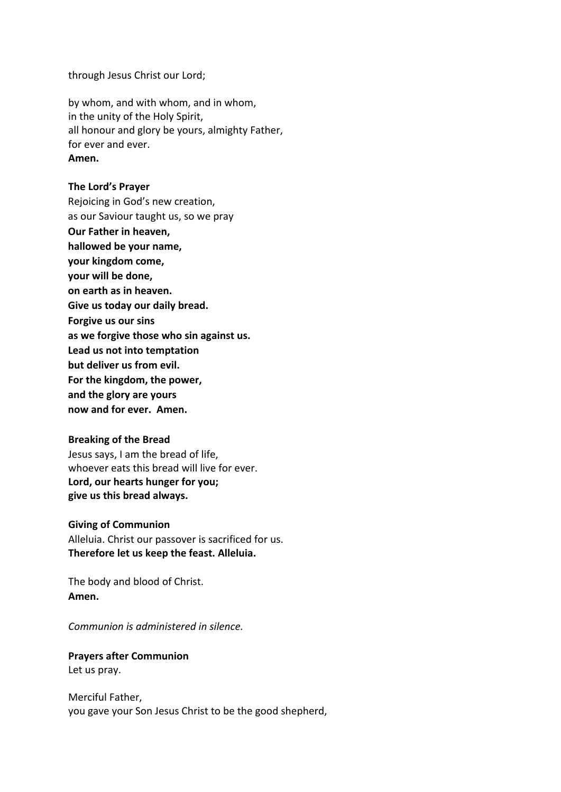through Jesus Christ our Lord;

by whom, and with whom, and in whom, in the unity of the Holy Spirit, all honour and glory be yours, almighty Father, for ever and ever. **Amen.**

### **The Lord's Prayer**

Rejoicing in God's new creation, as our Saviour taught us, so we pray **Our Father in heaven, hallowed be your name, your kingdom come, your will be done, on earth as in heaven. Give us today our daily bread. Forgive us our sins as we forgive those who sin against us. Lead us not into temptation but deliver us from evil. For the kingdom, the power, and the glory are yours now and for ever. Amen.**

#### **Breaking of the Bread**

Jesus says, I am the bread of life, whoever eats this bread will live for ever. **Lord, our hearts hunger for you; give us this bread always.**

#### **Giving of Communion**

Alleluia. Christ our passover is sacrificed for us. **Therefore let us keep the feast. Alleluia.**

The body and blood of Christ. **Amen.**

*Communion is administered in silence.*

**Prayers after Communion** Let us pray.

Merciful Father, you gave your Son Jesus Christ to be the good shepherd,